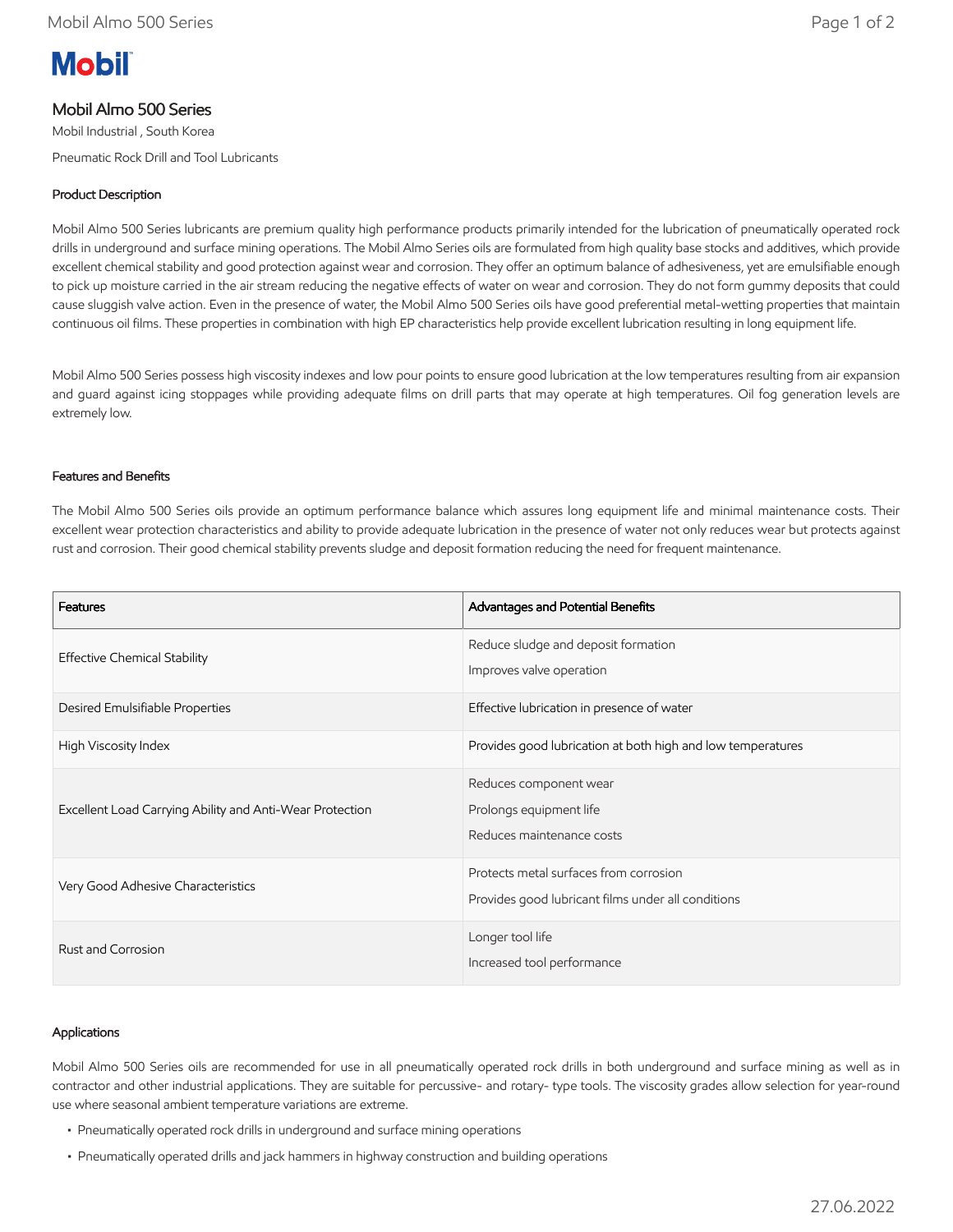# **Mobil**

## Mobil Almo 500 Series

Mobil Industrial , South Korea

Pneumatic Rock Drill and Tool Lubricants

## Product Description

Mobil Almo 500 Series lubricants are premium quality high performance products primarily intended for the lubrication of pneumatically operated rock drills in underground and surface mining operations. The Mobil Almo Series oils are formulated from high quality base stocks and additives, which provide excellent chemical stability and good protection against wear and corrosion. They offer an optimum balance of adhesiveness, yet are emulsifiable enough to pick up moisture carried in the air stream reducing the negative effects of water on wear and corrosion. They do not form gummy deposits that could cause sluggish valve action. Even in the presence of water, the Mobil Almo 500 Series oils have good preferential metal-wetting properties that maintain continuous oil films. These properties in combination with high EP characteristics help provide excellent lubrication resulting in long equipment life.

Mobil Almo 500 Series possess high viscosity indexes and low pour points to ensure good lubrication at the low temperatures resulting from air expansion and guard against icing stoppages while providing adequate films on drill parts that may operate at high temperatures. Oil fog generation levels are extremely low.

#### Features and Benefits

The Mobil Almo 500 Series oils provide an optimum performance balance which assures long equipment life and minimal maintenance costs. Their excellent wear protection characteristics and ability to provide adequate lubrication in the presence of water not only reduces wear but protects against rust and corrosion. Their good chemical stability prevents sludge and deposit formation reducing the need for frequent maintenance.

| Features                                                 | Advantages and Potential Benefits                                                            |
|----------------------------------------------------------|----------------------------------------------------------------------------------------------|
| <b>Effective Chemical Stability</b>                      | Reduce sludge and deposit formation<br>Improves valve operation                              |
| Desired Emulsifiable Properties                          | Effective lubrication in presence of water                                                   |
| High Viscosity Index                                     | Provides good lubrication at both high and low temperatures                                  |
| Excellent Load Carrying Ability and Anti-Wear Protection | Reduces component wear<br>Prolongs equipment life<br>Reduces maintenance costs               |
| Very Good Adhesive Characteristics                       | Protects metal surfaces from corrosion<br>Provides good lubricant films under all conditions |
| Rust and Corrosion                                       | Longer tool life<br>Increased tool performance                                               |

#### Applications

Mobil Almo 500 Series oils are recommended for use in all pneumatically operated rock drills in both underground and surface mining as well as in contractor and other industrial applications. They are suitable for percussive- and rotary- type tools. The viscosity grades allow selection for year-round use where seasonal ambient temperature variations are extreme.

- Pneumatically operated rock drills in underground and surface mining operations
- Pneumatically operated drills and jack hammers in highway construction and building operations